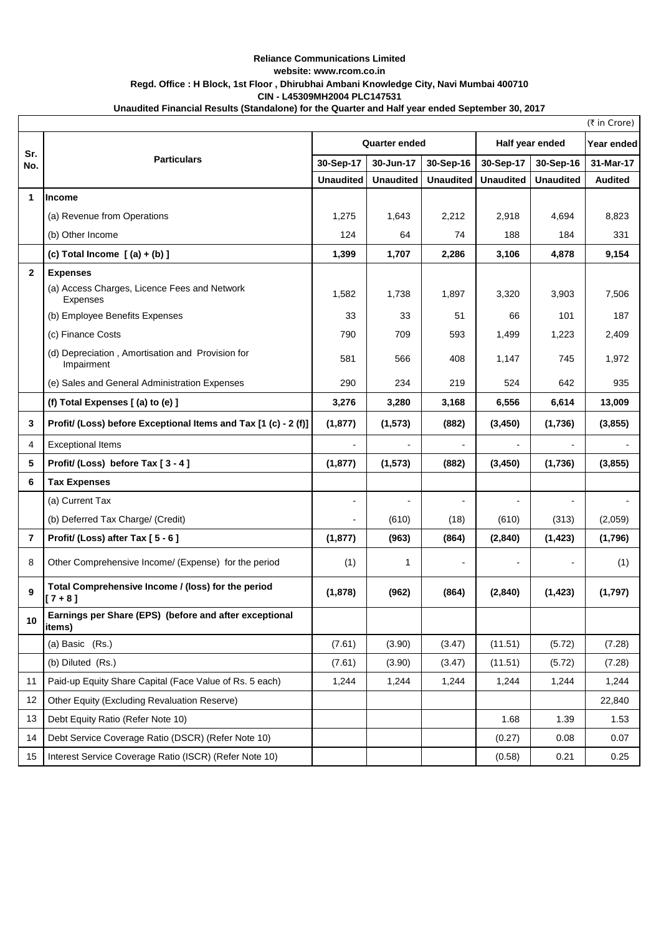## **Unaudited Financial Results (Standalone) for the Quarter and Half year ended September 30, 2017 Reliance Communications Limited website: www.rcom.co.in Regd. Office : H Block, 1st Floor , Dhirubhai Ambani Knowledge City, Navi Mumbai 400710 CIN - L45309MH2004 PLC147531**

| (₹ in Crore)            |                                                                  |                          |                  |                  |                  |                  |                |
|-------------------------|------------------------------------------------------------------|--------------------------|------------------|------------------|------------------|------------------|----------------|
| Sr.<br>No.              | <b>Particulars</b>                                               | <b>Quarter ended</b>     |                  |                  | Half year ended  |                  | Year ended     |
|                         |                                                                  | 30-Sep-17                | 30-Jun-17        | 30-Sep-16        | 30-Sep-17        | 30-Sep-16        | 31-Mar-17      |
|                         |                                                                  | <b>Unaudited</b>         | <b>Unaudited</b> | <b>Unaudited</b> | <b>Unaudited</b> | <b>Unaudited</b> | <b>Audited</b> |
| 1                       | <b>Income</b>                                                    |                          |                  |                  |                  |                  |                |
|                         | (a) Revenue from Operations                                      | 1,275                    | 1,643            | 2,212            | 2,918            | 4,694            | 8,823          |
|                         | (b) Other Income                                                 | 124                      | 64               | 74               | 188              | 184              | 331            |
|                         | (c) Total Income $(a) + (b)$ ]                                   | 1,399                    | 1,707            | 2,286            | 3,106            | 4.878            | 9,154          |
| $\mathbf{2}$            | <b>Expenses</b>                                                  |                          |                  |                  |                  |                  |                |
|                         | (a) Access Charges, Licence Fees and Network<br><b>Expenses</b>  | 1,582                    | 1,738            | 1,897            | 3,320            | 3,903            | 7,506          |
|                         | (b) Employee Benefits Expenses                                   | 33                       | 33               | 51               | 66               | 101              | 187            |
|                         | (c) Finance Costs                                                | 790                      | 709              | 593              | 1,499            | 1,223            | 2,409          |
|                         | (d) Depreciation, Amortisation and Provision for<br>Impairment   | 581                      | 566              | 408              | 1,147            | 745              | 1,972          |
|                         | (e) Sales and General Administration Expenses                    | 290                      | 234              | 219              | 524              | 642              | 935            |
|                         | (f) Total Expenses [(a) to (e) ]                                 | 3,276                    | 3,280            | 3,168            | 6,556            | 6,614            | 13,009         |
| 3                       | Profit/ (Loss) before Exceptional Items and Tax [1 (c) - 2 (f)]  | (1, 877)                 | (1, 573)         | (882)            | (3, 450)         | (1,736)          | (3,855)        |
| 4                       | <b>Exceptional Items</b>                                         |                          |                  |                  |                  |                  |                |
| 5                       | Profit/ (Loss) before Tax [3-4]                                  | (1, 877)                 | (1, 573)         | (882)            | (3, 450)         | (1,736)          | (3,855)        |
| 6                       | <b>Tax Expenses</b>                                              |                          |                  |                  |                  |                  |                |
|                         | (a) Current Tax                                                  | $\overline{\phantom{a}}$ |                  |                  |                  |                  |                |
|                         | (b) Deferred Tax Charge/ (Credit)                                |                          | (610)            | (18)             | (610)            | (313)            | (2,059)        |
| $\overline{\mathbf{r}}$ | Profit/ (Loss) after Tax [5 - 6]                                 | (1, 877)                 | (963)            | (864)            | (2,840)          | (1, 423)         | (1,796)        |
| 8                       | Other Comprehensive Income/ (Expense) for the period             | (1)                      | 1                |                  |                  |                  | (1)            |
| 9                       | Total Comprehensive Income / (loss) for the period<br>$[7 + 8]$  | (1,878)                  | (962)            | (864)            | (2, 840)         | (1, 423)         | (1,797)        |
| 10                      | Earnings per Share (EPS) (before and after exceptional<br>items) |                          |                  |                  |                  |                  |                |
|                         | (a) Basic (Rs.)                                                  | (7.61)                   | (3.90)           | (3.47)           | (11.51)          | (5.72)           | (7.28)         |
|                         | (b) Diluted (Rs.)                                                | (7.61)                   | (3.90)           | (3.47)           | (11.51)          | (5.72)           | (7.28)         |
| 11                      | Paid-up Equity Share Capital (Face Value of Rs. 5 each)          | 1,244                    | 1,244            | 1,244            | 1,244            | 1,244            | 1,244          |
| 12                      | Other Equity (Excluding Revaluation Reserve)                     |                          |                  |                  |                  |                  | 22,840         |
| 13                      | Debt Equity Ratio (Refer Note 10)                                |                          |                  |                  | 1.68             | 1.39             | 1.53           |
| 14                      | Debt Service Coverage Ratio (DSCR) (Refer Note 10)               |                          |                  |                  | (0.27)           | 0.08             | 0.07           |
| 15                      | Interest Service Coverage Ratio (ISCR) (Refer Note 10)           |                          |                  |                  | (0.58)           | 0.21             | 0.25           |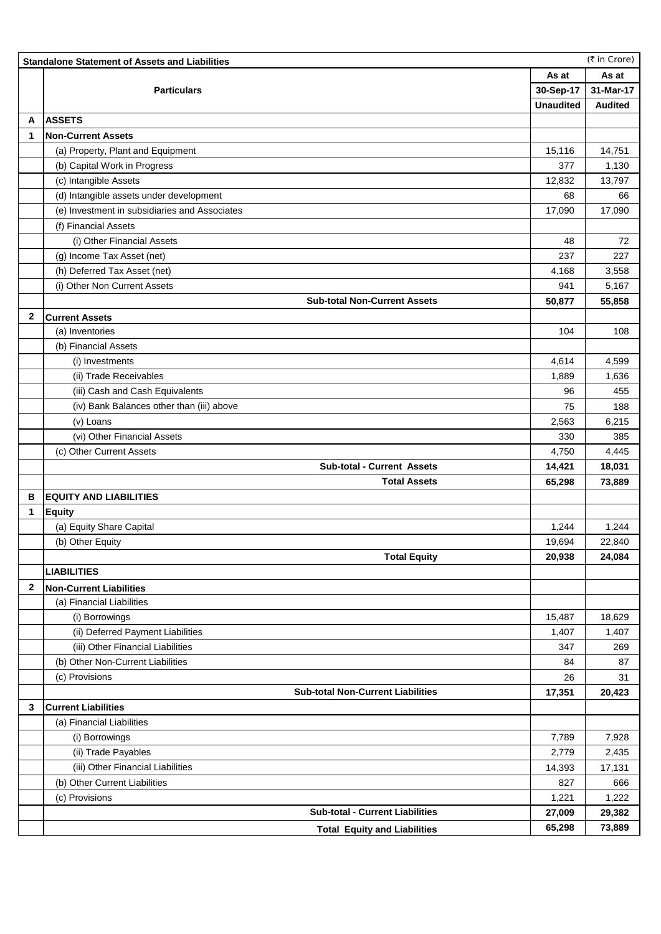|              | (₹ in Crore)<br><b>Standalone Statement of Assets and Liabilities</b> |                  |                |  |  |  |  |
|--------------|-----------------------------------------------------------------------|------------------|----------------|--|--|--|--|
|              |                                                                       |                  | As at          |  |  |  |  |
|              | <b>Particulars</b>                                                    | 30-Sep-17        | 31-Mar-17      |  |  |  |  |
|              |                                                                       | <b>Unaudited</b> | <b>Audited</b> |  |  |  |  |
| A            | <b>ASSETS</b>                                                         |                  |                |  |  |  |  |
| 1            | <b>Non-Current Assets</b>                                             |                  |                |  |  |  |  |
|              | (a) Property, Plant and Equipment                                     | 15,116           | 14,751         |  |  |  |  |
|              | (b) Capital Work in Progress                                          | 377              | 1,130          |  |  |  |  |
|              | (c) Intangible Assets                                                 | 12.832           | 13,797         |  |  |  |  |
|              | (d) Intangible assets under development                               | 68               | 66             |  |  |  |  |
|              | (e) Investment in subsidiaries and Associates                         | 17,090           | 17,090         |  |  |  |  |
|              | (f) Financial Assets                                                  |                  |                |  |  |  |  |
|              | (i) Other Financial Assets                                            | 48               | 72             |  |  |  |  |
|              | (g) Income Tax Asset (net)                                            | 237              | 227            |  |  |  |  |
|              |                                                                       |                  |                |  |  |  |  |
|              | (h) Deferred Tax Asset (net)                                          | 4,168            | 3,558          |  |  |  |  |
|              | (i) Other Non Current Assets                                          | 941              | 5,167          |  |  |  |  |
|              | <b>Sub-total Non-Current Assets</b>                                   | 50,877           | 55,858         |  |  |  |  |
| 2            | <b>Current Assets</b>                                                 |                  |                |  |  |  |  |
|              | (a) Inventories                                                       | 104              | 108            |  |  |  |  |
|              | (b) Financial Assets                                                  |                  |                |  |  |  |  |
|              | (i) Investments                                                       | 4,614            | 4,599          |  |  |  |  |
|              | (ii) Trade Receivables                                                | 1,889            | 1,636          |  |  |  |  |
|              | (iii) Cash and Cash Equivalents                                       | 96               | 455            |  |  |  |  |
|              | (iv) Bank Balances other than (iii) above                             | 75               | 188            |  |  |  |  |
|              | (v) Loans                                                             | 2,563            | 6,215          |  |  |  |  |
|              | (vi) Other Financial Assets                                           | 330              | 385            |  |  |  |  |
|              | (c) Other Current Assets                                              | 4,750            | 4,445          |  |  |  |  |
|              | <b>Sub-total - Current Assets</b>                                     | 14,421           | 18,031         |  |  |  |  |
|              | <b>Total Assets</b>                                                   | 65,298           | 73,889         |  |  |  |  |
| в            | <b>EQUITY AND LIABILITIES</b>                                         |                  |                |  |  |  |  |
| 1            | <b>Equity</b>                                                         |                  |                |  |  |  |  |
|              | (a) Equity Share Capital                                              | 1,244            | 1,244          |  |  |  |  |
|              | (b) Other Equity                                                      | 19,694           | 22,840         |  |  |  |  |
|              | <b>Total Equity</b>                                                   | 20,938           | 24,084         |  |  |  |  |
|              | <b>LIABILITIES</b>                                                    |                  |                |  |  |  |  |
| $\mathbf{2}$ | <b>Non-Current Liabilities</b>                                        |                  |                |  |  |  |  |
|              | (a) Financial Liabilities                                             |                  |                |  |  |  |  |
|              | (i) Borrowings                                                        | 15,487           | 18,629         |  |  |  |  |
|              | (ii) Deferred Payment Liabilities                                     | 1,407            | 1,407          |  |  |  |  |
|              | (iii) Other Financial Liabilities                                     | 347              | 269            |  |  |  |  |
|              | (b) Other Non-Current Liabilities                                     | 84               | 87             |  |  |  |  |
|              | (c) Provisions                                                        | 26               | 31             |  |  |  |  |
|              | <b>Sub-total Non-Current Liabilities</b>                              | 17,351           | 20,423         |  |  |  |  |
| 3            | <b>Current Liabilities</b>                                            |                  |                |  |  |  |  |
|              | (a) Financial Liabilities                                             |                  |                |  |  |  |  |
|              | (i) Borrowings                                                        | 7,789            | 7,928          |  |  |  |  |
|              | (ii) Trade Payables                                                   | 2,779            | 2,435          |  |  |  |  |
|              | (iii) Other Financial Liabilities                                     | 14,393           | 17,131         |  |  |  |  |
|              | (b) Other Current Liabilities                                         |                  | 666            |  |  |  |  |
|              |                                                                       | 827              |                |  |  |  |  |
|              | (c) Provisions<br><b>Sub-total - Current Liabilities</b>              | 1,221            | 1,222          |  |  |  |  |
|              |                                                                       | 27,009           | 29,382         |  |  |  |  |
|              | <b>Total Equity and Liabilities</b>                                   | 65,298           | 73,889         |  |  |  |  |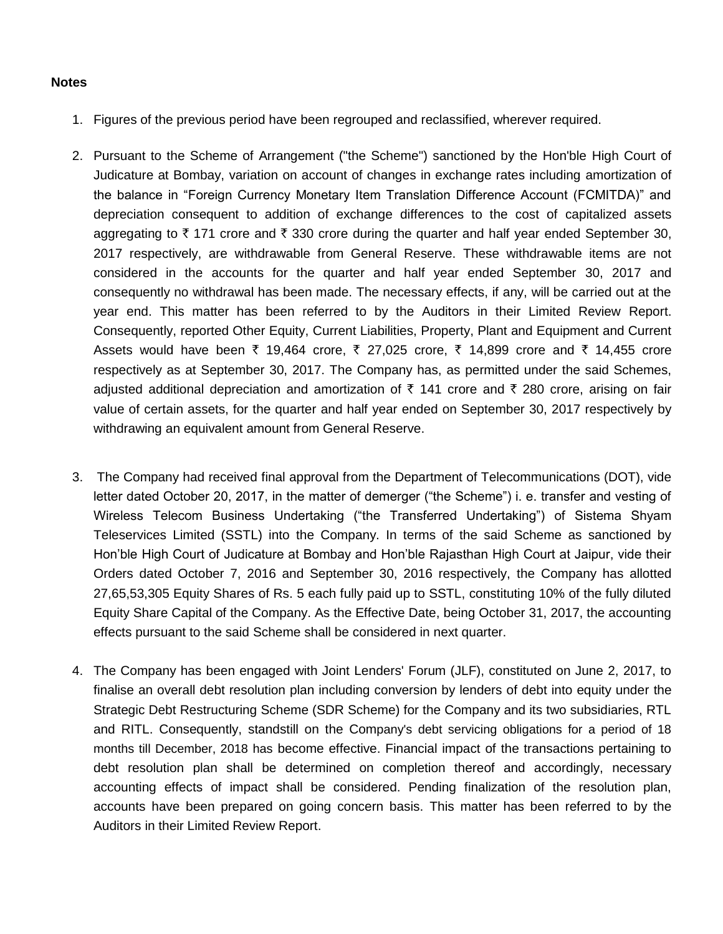## **Notes**

- 1. Figures of the previous period have been regrouped and reclassified, wherever required.
- 2. Pursuant to the Scheme of Arrangement ("the Scheme") sanctioned by the Hon'ble High Court of Judicature at Bombay, variation on account of changes in exchange rates including amortization of the balance in "Foreign Currency Monetary Item Translation Difference Account (FCMITDA)" and depreciation consequent to addition of exchange differences to the cost of capitalized assets aggregating to  $\bar{\tau}$  171 crore and  $\bar{\tau}$  330 crore during the quarter and half year ended September 30, 2017 respectively, are withdrawable from General Reserve. These withdrawable items are not considered in the accounts for the quarter and half year ended September 30, 2017 and consequently no withdrawal has been made. The necessary effects, if any, will be carried out at the year end. This matter has been referred to by the Auditors in their Limited Review Report. Consequently, reported Other Equity, Current Liabilities, Property, Plant and Equipment and Current Assets would have been  $\bar{\tau}$  19,464 crore,  $\bar{\tau}$  27,025 crore,  $\bar{\tau}$  14,899 crore and  $\bar{\tau}$  14,455 crore respectively as at September 30, 2017. The Company has, as permitted under the said Schemes, adjusted additional depreciation and amortization of  $\bar{\tau}$  141 crore and  $\bar{\tau}$  280 crore, arising on fair value of certain assets, for the quarter and half year ended on September 30, 2017 respectively by withdrawing an equivalent amount from General Reserve.
- 3. The Company had received final approval from the Department of Telecommunications (DOT), vide letter dated October 20, 2017, in the matter of demerger ("the Scheme") i. e. transfer and vesting of Wireless Telecom Business Undertaking ("the Transferred Undertaking") of Sistema Shyam Teleservices Limited (SSTL) into the Company. In terms of the said Scheme as sanctioned by Hon'ble High Court of Judicature at Bombay and Hon'ble Rajasthan High Court at Jaipur, vide their Orders dated October 7, 2016 and September 30, 2016 respectively, the Company has allotted 27,65,53,305 Equity Shares of Rs. 5 each fully paid up to SSTL, constituting 10% of the fully diluted Equity Share Capital of the Company. As the Effective Date, being October 31, 2017, the accounting effects pursuant to the said Scheme shall be considered in next quarter.
- 4. The Company has been engaged with Joint Lenders' Forum (JLF), constituted on June 2, 2017, to finalise an overall debt resolution plan including conversion by lenders of debt into equity under the Strategic Debt Restructuring Scheme (SDR Scheme) for the Company and its two subsidiaries, RTL and RITL. Consequently, standstill on the Company's debt servicing obligations for a period of 18 months till December, 2018 has become effective. Financial impact of the transactions pertaining to debt resolution plan shall be determined on completion thereof and accordingly, necessary accounting effects of impact shall be considered. Pending finalization of the resolution plan, accounts have been prepared on going concern basis. This matter has been referred to by the Auditors in their Limited Review Report.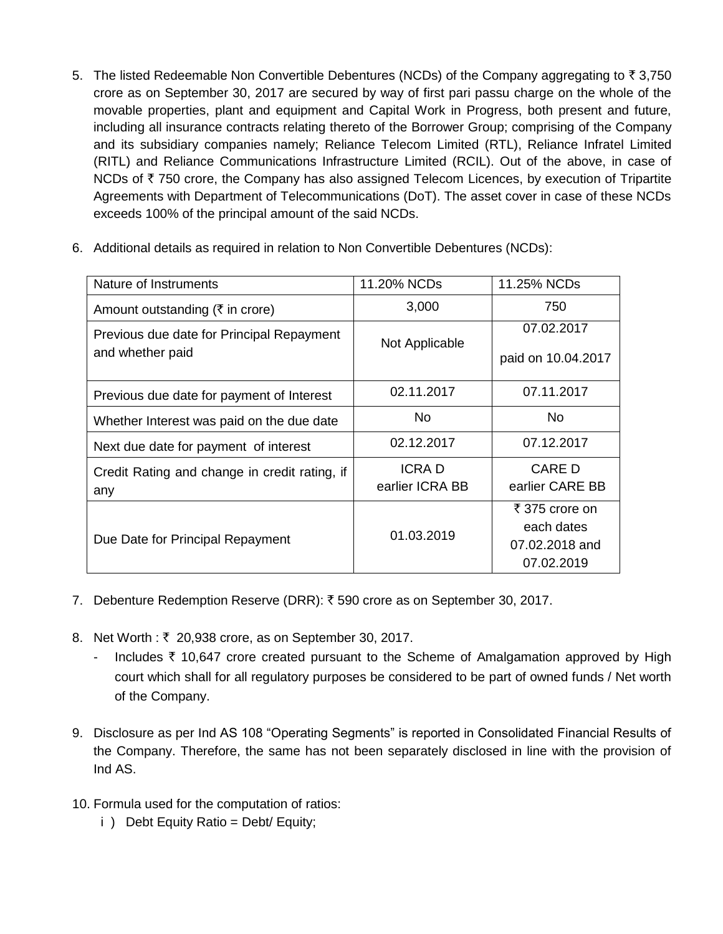5. The listed Redeemable Non Convertible Debentures (NCDs) of the Company aggregating to  $\bar{z}$  3,750 crore as on September 30, 2017 are secured by way of first pari passu charge on the whole of the movable properties, plant and equipment and Capital Work in Progress, both present and future, including all insurance contracts relating thereto of the Borrower Group; comprising of the Company and its subsidiary companies namely; Reliance Telecom Limited (RTL), Reliance Infratel Limited (RITL) and Reliance Communications Infrastructure Limited (RCIL). Out of the above, in case of NCDs of  $\bar{\tau}$  750 crore, the Company has also assigned Telecom Licences, by execution of Tripartite Agreements with Department of Telecommunications (DoT). The asset cover in case of these NCDs exceeds 100% of the principal amount of the said NCDs.

| Nature of Instruments                                         | 11.20% NCDs                     | 11.25% NCDs                                                  |  |
|---------------------------------------------------------------|---------------------------------|--------------------------------------------------------------|--|
| Amount outstanding ( $\bar{\tau}$ in crore)                   | 3,000                           | 750                                                          |  |
| Previous due date for Principal Repayment<br>and whether paid | Not Applicable                  | 07.02.2017<br>paid on 10.04.2017                             |  |
| Previous due date for payment of Interest                     | 02.11.2017                      | 07.11.2017                                                   |  |
| Whether Interest was paid on the due date                     | No.                             | No.                                                          |  |
| Next due date for payment of interest                         | 02.12.2017                      | 07.12.2017                                                   |  |
| Credit Rating and change in credit rating, if<br>any          | <b>ICRAD</b><br>earlier ICRA BB | CARE D<br>earlier CARE BB                                    |  |
| Due Date for Principal Repayment                              | 01.03.2019                      | ₹ 375 crore on<br>each dates<br>07.02.2018 and<br>07.02.2019 |  |

6. Additional details as required in relation to Non Convertible Debentures (NCDs):

- 7. Debenture Redemption Reserve (DRR): ₹590 crore as on September 30, 2017.
- 8. Net Worth : ₹ 20,938 crore, as on September 30, 2017.
	- Includes  $\bar{\tau}$  10,647 crore created pursuant to the Scheme of Amalgamation approved by High court which shall for all regulatory purposes be considered to be part of owned funds / Net worth of the Company.
- 9. Disclosure as per Ind AS 108 "Operating Segments" is reported in Consolidated Financial Results of the Company. Therefore, the same has not been separately disclosed in line with the provision of Ind AS.
- 10. Formula used for the computation of ratios:
	- i ) Debt Equity Ratio = Debt/ Equity;